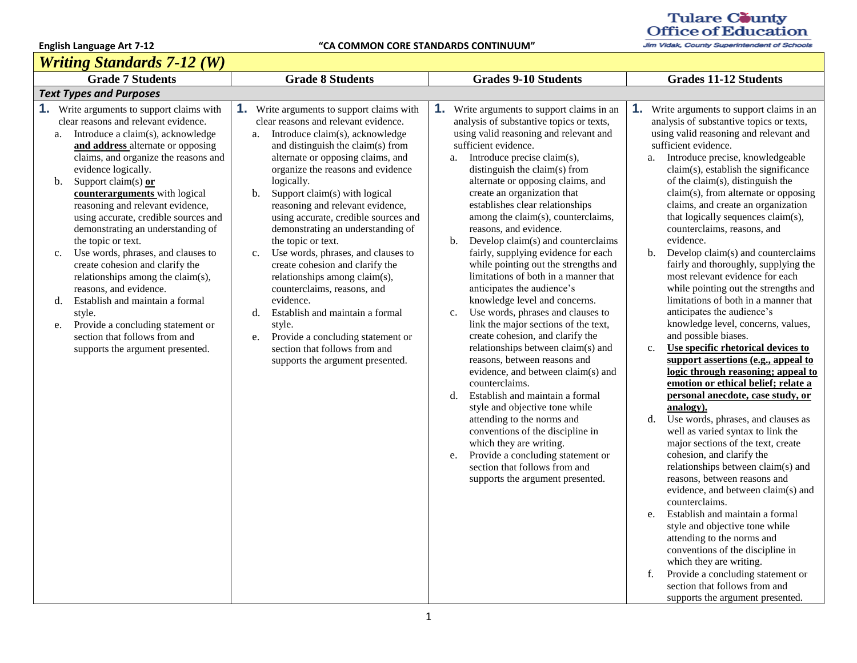*Writing Standards 7-12 (W)*

## Tulare County<br>Office of Education

|                                                    | wruing Sianaaras 7-12 (W)                                                                                                                                                                                                                                                                                                                                                                                                                                                                                                                                                                                                                                                                                                         |                                                                                                                                                                                                                                                                                                                                                                                                                                                                                                                                                                                                                                                                                                                                                                             |                                                                                                                                                                                                                                                                                                                                                                                                                                                                                                                                                                                                                                                                                                                                                                                                                                                                                                                                                                                                                                                                                                                                                                                                        |                                                                                                                                                                                                                                                                                                                                                                                                                                                                                                                                                                                                                                                                                                                                                                                                                                                                                                                                                                                                                                                                                                                                                                                                                                                                                                                                                                                                                                                                                                                                                                |  |  |
|----------------------------------------------------|-----------------------------------------------------------------------------------------------------------------------------------------------------------------------------------------------------------------------------------------------------------------------------------------------------------------------------------------------------------------------------------------------------------------------------------------------------------------------------------------------------------------------------------------------------------------------------------------------------------------------------------------------------------------------------------------------------------------------------------|-----------------------------------------------------------------------------------------------------------------------------------------------------------------------------------------------------------------------------------------------------------------------------------------------------------------------------------------------------------------------------------------------------------------------------------------------------------------------------------------------------------------------------------------------------------------------------------------------------------------------------------------------------------------------------------------------------------------------------------------------------------------------------|--------------------------------------------------------------------------------------------------------------------------------------------------------------------------------------------------------------------------------------------------------------------------------------------------------------------------------------------------------------------------------------------------------------------------------------------------------------------------------------------------------------------------------------------------------------------------------------------------------------------------------------------------------------------------------------------------------------------------------------------------------------------------------------------------------------------------------------------------------------------------------------------------------------------------------------------------------------------------------------------------------------------------------------------------------------------------------------------------------------------------------------------------------------------------------------------------------|----------------------------------------------------------------------------------------------------------------------------------------------------------------------------------------------------------------------------------------------------------------------------------------------------------------------------------------------------------------------------------------------------------------------------------------------------------------------------------------------------------------------------------------------------------------------------------------------------------------------------------------------------------------------------------------------------------------------------------------------------------------------------------------------------------------------------------------------------------------------------------------------------------------------------------------------------------------------------------------------------------------------------------------------------------------------------------------------------------------------------------------------------------------------------------------------------------------------------------------------------------------------------------------------------------------------------------------------------------------------------------------------------------------------------------------------------------------------------------------------------------------------------------------------------------------|--|--|
|                                                    | <b>Grade 7 Students</b>                                                                                                                                                                                                                                                                                                                                                                                                                                                                                                                                                                                                                                                                                                           | <b>Grade 8 Students</b>                                                                                                                                                                                                                                                                                                                                                                                                                                                                                                                                                                                                                                                                                                                                                     | <b>Grades 9-10 Students</b>                                                                                                                                                                                                                                                                                                                                                                                                                                                                                                                                                                                                                                                                                                                                                                                                                                                                                                                                                                                                                                                                                                                                                                            | <b>Grades 11-12 Students</b>                                                                                                                                                                                                                                                                                                                                                                                                                                                                                                                                                                                                                                                                                                                                                                                                                                                                                                                                                                                                                                                                                                                                                                                                                                                                                                                                                                                                                                                                                                                                   |  |  |
|                                                    | <b>Text Types and Purposes</b>                                                                                                                                                                                                                                                                                                                                                                                                                                                                                                                                                                                                                                                                                                    |                                                                                                                                                                                                                                                                                                                                                                                                                                                                                                                                                                                                                                                                                                                                                                             |                                                                                                                                                                                                                                                                                                                                                                                                                                                                                                                                                                                                                                                                                                                                                                                                                                                                                                                                                                                                                                                                                                                                                                                                        |                                                                                                                                                                                                                                                                                                                                                                                                                                                                                                                                                                                                                                                                                                                                                                                                                                                                                                                                                                                                                                                                                                                                                                                                                                                                                                                                                                                                                                                                                                                                                                |  |  |
| a.<br>$\mathbf{b}$ .<br>$\mathbf{c}$ .<br>d.<br>e. | <b>1.</b> Write arguments to support claims with<br>clear reasons and relevant evidence.<br>Introduce a claim(s), acknowledge<br>and address alternate or opposing<br>claims, and organize the reasons and<br>evidence logically.<br>Support claim(s) $or$<br>counterarguments with logical<br>reasoning and relevant evidence,<br>using accurate, credible sources and<br>demonstrating an understanding of<br>the topic or text.<br>Use words, phrases, and clauses to<br>create cohesion and clarify the<br>relationships among the claim(s),<br>reasons, and evidence.<br>Establish and maintain a formal<br>style.<br>Provide a concluding statement or<br>section that follows from and<br>supports the argument presented. | <b>1.</b> Write arguments to support claims with<br>clear reasons and relevant evidence.<br>Introduce claim(s), acknowledge<br>a.<br>and distinguish the claim(s) from<br>alternate or opposing claims, and<br>organize the reasons and evidence<br>logically.<br>Support claim(s) with logical<br>b.<br>reasoning and relevant evidence,<br>using accurate, credible sources and<br>demonstrating an understanding of<br>the topic or text.<br>Use words, phrases, and clauses to<br>c.<br>create cohesion and clarify the<br>relationships among claim(s),<br>counterclaims, reasons, and<br>evidence.<br>Establish and maintain a formal<br>d.<br>style.<br>Provide a concluding statement or<br>e.<br>section that follows from and<br>supports the argument presented. | <b>1.</b> Write arguments to support claims in an<br>analysis of substantive topics or texts,<br>using valid reasoning and relevant and<br>sufficient evidence.<br>Introduce precise claim(s),<br>a.<br>distinguish the claim(s) from<br>alternate or opposing claims, and<br>create an organization that<br>establishes clear relationships<br>among the claim(s), counterclaims,<br>reasons, and evidence.<br>b.<br>Develop claim(s) and counterclaims<br>fairly, supplying evidence for each<br>while pointing out the strengths and<br>limitations of both in a manner that<br>anticipates the audience's<br>knowledge level and concerns.<br>Use words, phrases and clauses to<br>$C_{\bullet}$<br>link the major sections of the text,<br>create cohesion, and clarify the<br>relationships between claim(s) and<br>reasons, between reasons and<br>evidence, and between claim(s) and<br>counterclaims.<br>Establish and maintain a formal<br>d.<br>style and objective tone while<br>attending to the norms and<br>conventions of the discipline in<br>which they are writing.<br>Provide a concluding statement or<br>e.<br>section that follows from and<br>supports the argument presented. | 1.<br>Write arguments to support claims in an<br>analysis of substantive topics or texts,<br>using valid reasoning and relevant and<br>sufficient evidence.<br>Introduce precise, knowledgeable<br>a.<br>claim(s), establish the significance<br>of the claim(s), distinguish the<br>claim(s), from alternate or opposing<br>claims, and create an organization<br>that logically sequences claim(s),<br>counterclaims, reasons, and<br>evidence.<br>Develop claim(s) and counterclaims<br>$b_{1}$<br>fairly and thoroughly, supplying the<br>most relevant evidence for each<br>while pointing out the strengths and<br>limitations of both in a manner that<br>anticipates the audience's<br>knowledge level, concerns, values,<br>and possible biases.<br>Use specific rhetorical devices to<br>$c_{\cdot}$<br>support assertions (e.g., appeal to<br>logic through reasoning; appeal to<br>emotion or ethical belief; relate a<br>personal anecdote, case study, or<br>analogy).<br>Use words, phrases, and clauses as<br>d.<br>well as varied syntax to link the<br>major sections of the text, create<br>cohesion, and clarify the<br>relationships between claim(s) and<br>reasons, between reasons and<br>evidence, and between claim(s) and<br>counterclaims.<br>Establish and maintain a formal<br>e.<br>style and objective tone while<br>attending to the norms and<br>conventions of the discipline in<br>which they are writing.<br>Provide a concluding statement or<br>f.<br>section that follows from and<br>supports the argument presented. |  |  |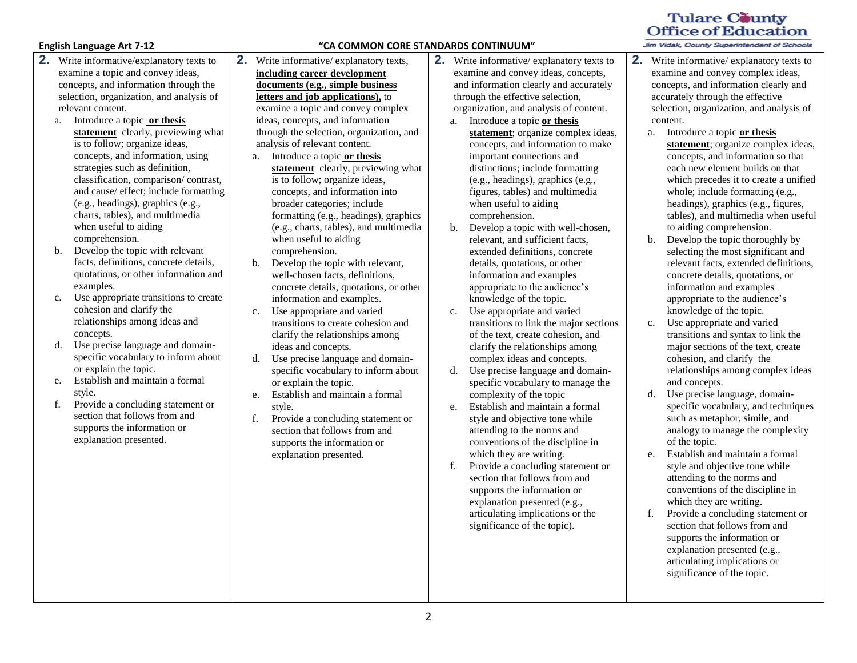- **2.** Write informative/explanatory texts to examine a topic and convey ideas, concepts, and information through the selection, organization, and analysis of relevant content.
	- a. Introduce a topic **or thesis statement** clearly, previewing what is to follow; organize ideas, concepts, and information, using strategies such as definition, classification, comparison/ contrast, and cause/ effect; include formatting (e.g., headings), graphics (e.g., charts, tables), and multimedia when useful to aiding comprehension.
	- b. Develop the topic with relevant facts, definitions, concrete details, quotations, or other information and examples.
	- c. Use appropriate transitions to create cohesion and clarify the relationships among ideas and concepts.
	- d. Use precise language and domainspecific vocabulary to inform about or explain the topic.
	- e. Establish and maintain a formal style.
	- f. Provide a concluding statement or section that follows from and supports the information or explanation presented.

### **English Language Art 7-12 "CA COMMON CORE STANDARDS CONTINUUM"**

- **2.** Write informative/ explanatory texts, **including career development documents (e.g., simple business letters and job applications),** to examine a topic and convey complex ideas, concepts, and information through the selection, organization, and analysis of relevant content.
	- a. Introduce a topic **or thesis statement** clearly, previewing what is to follow; organize ideas, concepts, and information into broader categories; include formatting (e.g., headings), graphics (e.g., charts, tables), and multimedia when useful to aiding comprehension.
	- b. Develop the topic with relevant, well-chosen facts, definitions, concrete details, quotations, or other information and examples.
	- c. Use appropriate and varied transitions to create cohesion and clarify the relationships among ideas and concepts.
	- d. Use precise language and domainspecific vocabulary to inform about or explain the topic.
	- e. Establish and maintain a formal style.
	- f. Provide a concluding statement or section that follows from and supports the information or explanation presented.
- **2.** Write informative/ explanatory texts to examine and convey ideas, concepts, and information clearly and accurately through the effective selection, organization, and analysis of content.
	- a. Introduce a topic **or thesis**  statement; organize complex ideas, concepts, and information to make important connections and distinctions; include formatting (e.g., headings), graphics (e.g., figures, tables) and multimedia when useful to aiding comprehension.
	- b. Develop a topic with well-chosen, relevant, and sufficient facts, extended definitions, concrete details, quotations, or other information and examples appropriate to the audience's knowledge of the topic.
	- c. Use appropriate and varied transitions to link the major sections of the text, create cohesion, and clarify the relationships among complex ideas and concepts.
	- d. Use precise language and domainspecific vocabulary to manage the complexity of the topic
	- e. Establish and maintain a formal style and objective tone while attending to the norms and conventions of the discipline in which they are writing.
	- f. Provide a concluding statement or section that follows from and supports the information or explanation presented (e.g., articulating implications or the significance of the topic).

### **Tulare County Office of Education**

- **2.** Write informative/ explanatory texts to examine and convey complex ideas, concepts, and information clearly and accurately through the effective selection, organization, and analysis of content.
	- a. Introduce a topic **or thesis statement**; organize complex ideas, concepts, and information so that each new element builds on that which precedes it to create a unified whole; include formatting (e.g., headings), graphics (e.g., figures, tables), and multimedia when useful to aiding comprehension.
	- b. Develop the topic thoroughly by selecting the most significant and relevant facts, extended definitions, concrete details, quotations, or information and examples appropriate to the audience's knowledge of the topic.
	- c. Use appropriate and varied transitions and syntax to link the major sections of the text, create cohesion, and clarify the relationships among complex ideas and concepts.
	- d. Use precise language, domainspecific vocabulary, and techniques such as metaphor, simile, and analogy to manage the complexity of the topic.
	- e. Establish and maintain a formal style and objective tone while attending to the norms and conventions of the discipline in which they are writing.
	- f. Provide a concluding statement or section that follows from and supports the information or explanation presented (e.g., articulating implications or significance of the topic.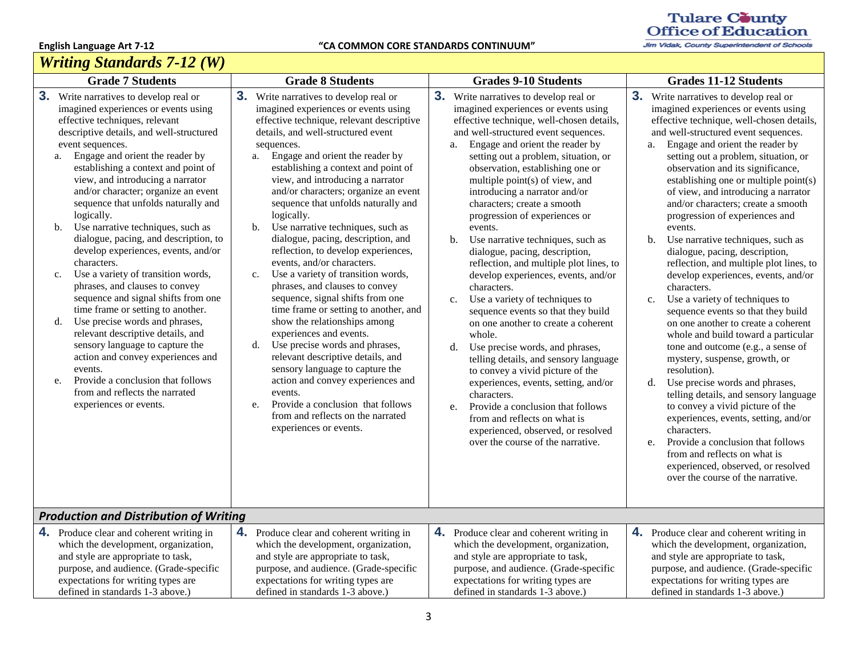# *Writing Standards 7-12 (W)*

# Tulare County<br>Office of Education

| <i>Wruing Siandards 1-12 (W)</i>                                                                                                                                                                                                                                                                                                                                                                                                                                                                                                                                                                                                                                                                                                                                                                                                                                                                                                                                                                       |                                                                                                                                                                                                                                                                                                                                                                                                                                                                                                                                                                                                                                                                                                                                                                                                                                                                                                                                                                                                                                                                             |                                                                                                                                                                                                                                                                                                                                                                                                                                                                                                                                                                                                                                                                                                                                                                                                                                                                                                                                                                                                                                                                                                       |                                                                                                                                                                                                                                                                                                                                                                                                                                                                                                                                                                                                                                                                                                                                                                                                                                                                                                                                                                                                                                                                                                                                                                                                                                                |  |  |  |
|--------------------------------------------------------------------------------------------------------------------------------------------------------------------------------------------------------------------------------------------------------------------------------------------------------------------------------------------------------------------------------------------------------------------------------------------------------------------------------------------------------------------------------------------------------------------------------------------------------------------------------------------------------------------------------------------------------------------------------------------------------------------------------------------------------------------------------------------------------------------------------------------------------------------------------------------------------------------------------------------------------|-----------------------------------------------------------------------------------------------------------------------------------------------------------------------------------------------------------------------------------------------------------------------------------------------------------------------------------------------------------------------------------------------------------------------------------------------------------------------------------------------------------------------------------------------------------------------------------------------------------------------------------------------------------------------------------------------------------------------------------------------------------------------------------------------------------------------------------------------------------------------------------------------------------------------------------------------------------------------------------------------------------------------------------------------------------------------------|-------------------------------------------------------------------------------------------------------------------------------------------------------------------------------------------------------------------------------------------------------------------------------------------------------------------------------------------------------------------------------------------------------------------------------------------------------------------------------------------------------------------------------------------------------------------------------------------------------------------------------------------------------------------------------------------------------------------------------------------------------------------------------------------------------------------------------------------------------------------------------------------------------------------------------------------------------------------------------------------------------------------------------------------------------------------------------------------------------|------------------------------------------------------------------------------------------------------------------------------------------------------------------------------------------------------------------------------------------------------------------------------------------------------------------------------------------------------------------------------------------------------------------------------------------------------------------------------------------------------------------------------------------------------------------------------------------------------------------------------------------------------------------------------------------------------------------------------------------------------------------------------------------------------------------------------------------------------------------------------------------------------------------------------------------------------------------------------------------------------------------------------------------------------------------------------------------------------------------------------------------------------------------------------------------------------------------------------------------------|--|--|--|
| <b>Grade 7 Students</b>                                                                                                                                                                                                                                                                                                                                                                                                                                                                                                                                                                                                                                                                                                                                                                                                                                                                                                                                                                                | <b>Grade 8 Students</b>                                                                                                                                                                                                                                                                                                                                                                                                                                                                                                                                                                                                                                                                                                                                                                                                                                                                                                                                                                                                                                                     | <b>Grades 9-10 Students</b>                                                                                                                                                                                                                                                                                                                                                                                                                                                                                                                                                                                                                                                                                                                                                                                                                                                                                                                                                                                                                                                                           | <b>Grades 11-12 Students</b>                                                                                                                                                                                                                                                                                                                                                                                                                                                                                                                                                                                                                                                                                                                                                                                                                                                                                                                                                                                                                                                                                                                                                                                                                   |  |  |  |
| 3 <sub>1</sub><br>Write narratives to develop real or<br>imagined experiences or events using<br>effective techniques, relevant<br>descriptive details, and well-structured<br>event sequences.<br>Engage and orient the reader by<br>a.<br>establishing a context and point of<br>view, and introducing a narrator<br>and/or character; organize an event<br>sequence that unfolds naturally and<br>logically.<br>Use narrative techniques, such as<br>b.<br>dialogue, pacing, and description, to<br>develop experiences, events, and/or<br>characters.<br>Use a variety of transition words,<br>$\mathbf{c}$ .<br>phrases, and clauses to convey<br>sequence and signal shifts from one<br>time frame or setting to another.<br>Use precise words and phrases,<br>d.<br>relevant descriptive details, and<br>sensory language to capture the<br>action and convey experiences and<br>events.<br>Provide a conclusion that follows<br>e.<br>from and reflects the narrated<br>experiences or events. | 3. Write narratives to develop real or<br>imagined experiences or events using<br>effective technique, relevant descriptive<br>details, and well-structured event<br>sequences.<br>Engage and orient the reader by<br>a.<br>establishing a context and point of<br>view, and introducing a narrator<br>and/or characters; organize an event<br>sequence that unfolds naturally and<br>logically.<br>Use narrative techniques, such as<br>$\mathbf{b}$ .<br>dialogue, pacing, description, and<br>reflection, to develop experiences,<br>events, and/or characters.<br>Use a variety of transition words,<br>$c_{\cdot}$<br>phrases, and clauses to convey<br>sequence, signal shifts from one<br>time frame or setting to another, and<br>show the relationships among<br>experiences and events.<br>Use precise words and phrases,<br>d.<br>relevant descriptive details, and<br>sensory language to capture the<br>action and convey experiences and<br>events.<br>Provide a conclusion that follows<br>e.<br>from and reflects on the narrated<br>experiences or events. | 3 <sub>1</sub><br>Write narratives to develop real or<br>imagined experiences or events using<br>effective technique, well-chosen details,<br>and well-structured event sequences.<br>Engage and orient the reader by<br>a.<br>setting out a problem, situation, or<br>observation, establishing one or<br>multiple point(s) of view, and<br>introducing a narrator and/or<br>characters; create a smooth<br>progression of experiences or<br>events.<br>Use narrative techniques, such as<br>b.<br>dialogue, pacing, description,<br>reflection, and multiple plot lines, to<br>develop experiences, events, and/or<br>characters.<br>Use a variety of techniques to<br>c.<br>sequence events so that they build<br>on one another to create a coherent<br>whole.<br>Use precise words, and phrases,<br>d.<br>telling details, and sensory language<br>to convey a vivid picture of the<br>experiences, events, setting, and/or<br>characters.<br>Provide a conclusion that follows<br>e.<br>from and reflects on what is<br>experienced, observed, or resolved<br>over the course of the narrative. | 3 <sub>1</sub><br>Write narratives to develop real or<br>imagined experiences or events using<br>effective technique, well-chosen details,<br>and well-structured event sequences.<br>Engage and orient the reader by<br>a.<br>setting out a problem, situation, or<br>observation and its significance,<br>establishing one or multiple point(s)<br>of view, and introducing a narrator<br>and/or characters; create a smooth<br>progression of experiences and<br>events.<br>Use narrative techniques, such as<br>b.<br>dialogue, pacing, description,<br>reflection, and multiple plot lines, to<br>develop experiences, events, and/or<br>characters.<br>Use a variety of techniques to<br>c.<br>sequence events so that they build<br>on one another to create a coherent<br>whole and build toward a particular<br>tone and outcome (e.g., a sense of<br>mystery, suspense, growth, or<br>resolution).<br>Use precise words and phrases,<br>d.<br>telling details, and sensory language<br>to convey a vivid picture of the<br>experiences, events, setting, and/or<br>characters.<br>Provide a conclusion that follows<br>e.<br>from and reflects on what is<br>experienced, observed, or resolved<br>over the course of the narrative. |  |  |  |
| <b>Production and Distribution of Writing</b>                                                                                                                                                                                                                                                                                                                                                                                                                                                                                                                                                                                                                                                                                                                                                                                                                                                                                                                                                          |                                                                                                                                                                                                                                                                                                                                                                                                                                                                                                                                                                                                                                                                                                                                                                                                                                                                                                                                                                                                                                                                             |                                                                                                                                                                                                                                                                                                                                                                                                                                                                                                                                                                                                                                                                                                                                                                                                                                                                                                                                                                                                                                                                                                       |                                                                                                                                                                                                                                                                                                                                                                                                                                                                                                                                                                                                                                                                                                                                                                                                                                                                                                                                                                                                                                                                                                                                                                                                                                                |  |  |  |
| 4.<br>Produce clear and coherent writing in<br>which the development, organization,<br>and style are appropriate to task,<br>purpose, and audience. (Grade-specific<br>expectations for writing types are<br>defined in standards 1-3 above.)                                                                                                                                                                                                                                                                                                                                                                                                                                                                                                                                                                                                                                                                                                                                                          | 4. Produce clear and coherent writing in<br>which the development, organization,<br>and style are appropriate to task,<br>purpose, and audience. (Grade-specific<br>expectations for writing types are<br>defined in standards 1-3 above.)                                                                                                                                                                                                                                                                                                                                                                                                                                                                                                                                                                                                                                                                                                                                                                                                                                  | 4. Produce clear and coherent writing in<br>which the development, organization,<br>and style are appropriate to task,<br>purpose, and audience. (Grade-specific<br>expectations for writing types are<br>defined in standards 1-3 above.)                                                                                                                                                                                                                                                                                                                                                                                                                                                                                                                                                                                                                                                                                                                                                                                                                                                            | 4.<br>Produce clear and coherent writing in<br>which the development, organization,<br>and style are appropriate to task,<br>purpose, and audience. (Grade-specific<br>expectations for writing types are<br>defined in standards 1-3 above.)                                                                                                                                                                                                                                                                                                                                                                                                                                                                                                                                                                                                                                                                                                                                                                                                                                                                                                                                                                                                  |  |  |  |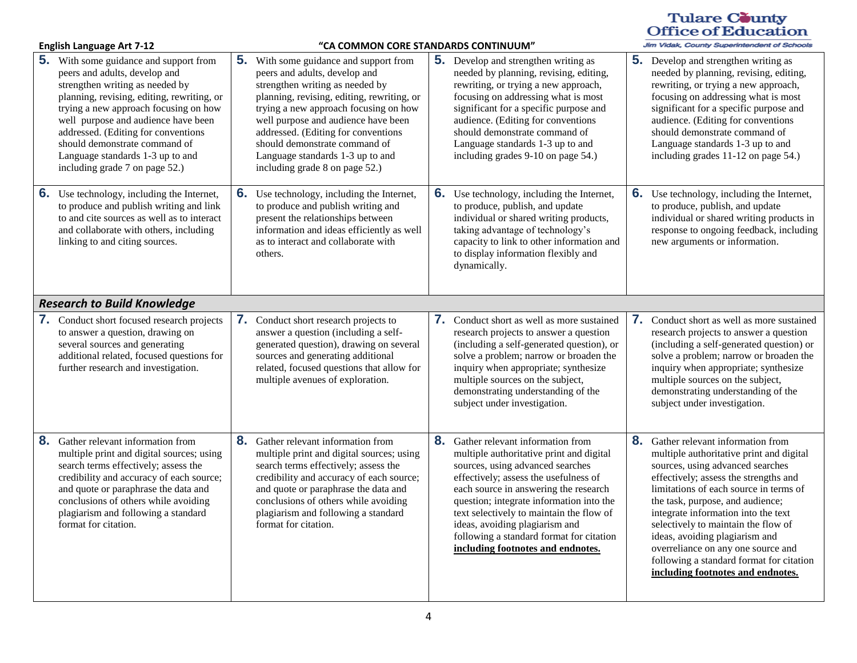### Tulare County<br>Office of Education -<br>Jim Vidak, County Superintendent of Schools

| <b>English Language Art 7-12</b> |                                                                                                                                                                                                                                                                                                                                                                                               | "CA COMMON CORE STANDARDS CONTINUUM" |                                                                                                                                                                                                                                                                                                                                                                                               |    |                                                                                                                                                                                                                                                                                                                                                                                                               |    | Jim Vidak, County Superintendent of Schools                                                                                                                                                                                                                                                                                                                                                                                                                                    |
|----------------------------------|-----------------------------------------------------------------------------------------------------------------------------------------------------------------------------------------------------------------------------------------------------------------------------------------------------------------------------------------------------------------------------------------------|--------------------------------------|-----------------------------------------------------------------------------------------------------------------------------------------------------------------------------------------------------------------------------------------------------------------------------------------------------------------------------------------------------------------------------------------------|----|---------------------------------------------------------------------------------------------------------------------------------------------------------------------------------------------------------------------------------------------------------------------------------------------------------------------------------------------------------------------------------------------------------------|----|--------------------------------------------------------------------------------------------------------------------------------------------------------------------------------------------------------------------------------------------------------------------------------------------------------------------------------------------------------------------------------------------------------------------------------------------------------------------------------|
|                                  | <b>5.</b> With some guidance and support from<br>peers and adults, develop and<br>strengthen writing as needed by<br>planning, revising, editing, rewriting, or<br>trying a new approach focusing on how<br>well purpose and audience have been<br>addressed. (Editing for conventions<br>should demonstrate command of<br>Language standards 1-3 up to and<br>including grade 7 on page 52.) |                                      | <b>5.</b> With some guidance and support from<br>peers and adults, develop and<br>strengthen writing as needed by<br>planning, revising, editing, rewriting, or<br>trying a new approach focusing on how<br>well purpose and audience have been<br>addressed. (Editing for conventions<br>should demonstrate command of<br>Language standards 1-3 up to and<br>including grade 8 on page 52.) |    | <b>5.</b> Develop and strengthen writing as<br>needed by planning, revising, editing,<br>rewriting, or trying a new approach,<br>focusing on addressing what is most<br>significant for a specific purpose and<br>audience. (Editing for conventions<br>should demonstrate command of<br>Language standards 1-3 up to and<br>including grades 9-10 on page 54.)                                               |    | <b>5.</b> Develop and strengthen writing as<br>needed by planning, revising, editing,<br>rewriting, or trying a new approach,<br>focusing on addressing what is most<br>significant for a specific purpose and<br>audience. (Editing for conventions<br>should demonstrate command of<br>Language standards 1-3 up to and<br>including grades 11-12 on page 54.)                                                                                                               |
| 6.                               | Use technology, including the Internet,<br>to produce and publish writing and link<br>to and cite sources as well as to interact<br>and collaborate with others, including<br>linking to and citing sources.                                                                                                                                                                                  | 6.                                   | Use technology, including the Internet,<br>to produce and publish writing and<br>present the relationships between<br>information and ideas efficiently as well<br>as to interact and collaborate with<br>others.                                                                                                                                                                             |    | <b>6.</b> Use technology, including the Internet,<br>to produce, publish, and update<br>individual or shared writing products,<br>taking advantage of technology's<br>capacity to link to other information and<br>to display information flexibly and<br>dynamically.                                                                                                                                        |    | <b>6.</b> Use technology, including the Internet,<br>to produce, publish, and update<br>individual or shared writing products in<br>response to ongoing feedback, including<br>new arguments or information.                                                                                                                                                                                                                                                                   |
|                                  | <b>Research to Build Knowledge</b>                                                                                                                                                                                                                                                                                                                                                            |                                      |                                                                                                                                                                                                                                                                                                                                                                                               |    |                                                                                                                                                                                                                                                                                                                                                                                                               |    |                                                                                                                                                                                                                                                                                                                                                                                                                                                                                |
|                                  | 7. Conduct short focused research projects<br>to answer a question, drawing on<br>several sources and generating<br>additional related, focused questions for<br>further research and investigation.                                                                                                                                                                                          |                                      | 7. Conduct short research projects to<br>answer a question (including a self-<br>generated question), drawing on several<br>sources and generating additional<br>related, focused questions that allow for<br>multiple avenues of exploration.                                                                                                                                                |    | <b>7.</b> Conduct short as well as more sustained<br>research projects to answer a question<br>(including a self-generated question), or<br>solve a problem; narrow or broaden the<br>inquiry when appropriate; synthesize<br>multiple sources on the subject,<br>demonstrating understanding of the<br>subject under investigation.                                                                          |    | <b>7.</b> Conduct short as well as more sustained<br>research projects to answer a question<br>(including a self-generated question) or<br>solve a problem; narrow or broaden the<br>inquiry when appropriate; synthesize<br>multiple sources on the subject,<br>demonstrating understanding of the<br>subject under investigation.                                                                                                                                            |
| 8.                               | Gather relevant information from<br>multiple print and digital sources; using<br>search terms effectively; assess the<br>credibility and accuracy of each source;<br>and quote or paraphrase the data and<br>conclusions of others while avoiding<br>plagiarism and following a standard<br>format for citation.                                                                              | 8.                                   | Gather relevant information from<br>multiple print and digital sources; using<br>search terms effectively; assess the<br>credibility and accuracy of each source;<br>and quote or paraphrase the data and<br>conclusions of others while avoiding<br>plagiarism and following a standard<br>format for citation.                                                                              | 8. | Gather relevant information from<br>multiple authoritative print and digital<br>sources, using advanced searches<br>effectively; assess the usefulness of<br>each source in answering the research<br>question; integrate information into the<br>text selectively to maintain the flow of<br>ideas, avoiding plagiarism and<br>following a standard format for citation<br>including footnotes and endnotes. | 8. | Gather relevant information from<br>multiple authoritative print and digital<br>sources, using advanced searches<br>effectively; assess the strengths and<br>limitations of each source in terms of<br>the task, purpose, and audience;<br>integrate information into the text<br>selectively to maintain the flow of<br>ideas, avoiding plagiarism and<br>overreliance on any one source and<br>following a standard format for citation<br>including footnotes and endnotes. |